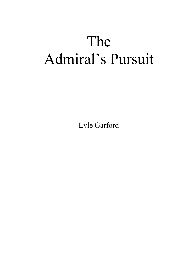## The Admiral's Pursuit

Lyle Garford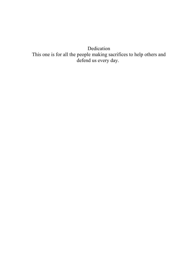Dedication This one is for all the people making sacrifices to help others and defend us every day.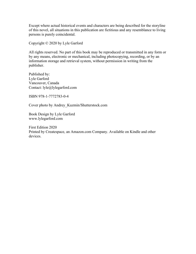Except where actual historical events and characters are being described for the storyline of this novel, all situations in this publication are fictitious and any resemblance to living persons is purely coincidental.

Copyright © 2020 by Lyle Garford

All rights reserved. No part of this book may be reproduced or transmitted in any form or by any means, electronic or mechanical, including photocopying, recording, or by an information storage and retrieval system, without permission in writing from the publisher.

Published by: Lyle Garford Vancouver, Canada Contact: lyle@lylegarford.com

ISBN 978-1-7772783-0-4

Cover photo by Andrey\_Kuzmin/Shutterstock.com

Book Design by Lyle Garford www.lylegarford.com

First Edition 2020 Printed by Createspace, an Amazon.com Company. Available on Kindle and other devices.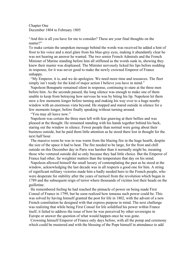## Chapter One December 1804 to February 1805

"And this is all you have for me to consider? These are your final thoughts on the matter?"

To make certain the unspoken message behind the words was received he added a hint of frost to his voice and a steel glare from his blue-grey eyes, making it abundantly clear he was not hearing an answer he wanted. The two senior French Admirals and the French Minister of Marine standing before him all stiffened as the words sunk in, showing they knew their master was displeased. The Minister nervously licked his lips before nodding in response, for it was never good to make the newly crowned Emperor of France unhappy.

"My Emperor, it is, and we do apologize. We need more time and resources. The fleet simply isn't ready for the kind of major action I believe you have in mind."

Napoleon Bonaparte remained silent in response, continuing to stare at the three men before him. As the seconds passed, the long silence was enough to make one of them unable to keep from betraying how nervous he was by biting his lip. Napoleon let them stew a few moments longer before turning and making his way over to a huge nearby window with an enormous vista beyond. He stopped and stared outside in silence for a few moments longer, before finally speaking without turning around.

"You may all leave now."

Napoleon was certain the three men left with fear gnawing at their bellies and was pleased at the thought. He remained standing with his hands together behind his back, staring out the window in silence. Fewer people than normal were going about their business outside, but he paid them little attention as he stood there lost in thought for the next half hour.

The massive room he was in was warm from the blazing fire in the huge hearth, despite the size of the space it had to heat. The fire needed to be large, for the frost and chill outside on this December day in Paris was harsher than it normally might be, meaning those who ventured outside did so only because they had little choice. But the Emperor of France had other, far weightier matters than the temperature that day on his mind.

Napoleon allowed himself the small luxury of contemplating the past as he stood at the window, acknowledging the last decade was in all respects a good one for him. A string of significant military victories made him a badly needed hero to the French people, who were desperate for stability after the years of turmoil from the revolution which began in 1789 and the subsequent reign of terror where thousands of victims lost their heads on the guillotine.

He remembered feeling he had reached the pinnacle of power on being made First Consul of France in 1799, but he soon realized how tenuous such power could be. This was solved by having himself granted the post for life in 1802, with the advent of a new French constitution he designed with that express purpose in mind. The next challenge was realizing that while being First Consul for life solidified his power within France itself, it failed to address the issue of how he was perceived by other sovereigns in Europe or answer the question of what would happen once he was gone.

Crowning himself Emperor of France only days before, with all the pomp and ceremony which could be mustered and with the blessing of the Pope himself in attendance to add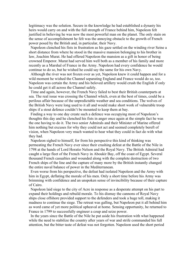legitimacy was the solution. Secure in the knowledge he had established a dynasty his heirs would carry on and with the full strength of France behind him, Napoleon felt justified in believing he was now the most powerful man on the planet. The only stain on the sense of accomplishment he felt was the annoying obstacle to the growth of French power posed by the British and, in particular, their Navy.

Napoleon clenched his fists in frustration as his gaze settled on the winding river Seine a short distance from where he stood in the massive mansion belonging to his brother in law, Joachim Murat. He had offered Napoleon the mansion as a gift in honor of being crowned Emperor. Murat had served him well both as a member of his family and more recently as a Marshal of France in the Army. Napoleon had every confidence he would continue to do so, but he wished he could say the same for his own Navy.

Although the river was not frozen over as yet, Napoleon knew it could happen and for a wild moment he wished the Channel separating England and France would do so, too. Napoleon was certain the Army and his beloved artillery would crush the English if only he could get it all across the Channel safely.

Time and again, however, the French Navy failed to best their British counterparts at sea. The real issue was crossing the Channel which, even at the best of times, could be a perilous affair because of the unpredictable weather and sea conditions. The wolves of the British Navy were long used to it all and would make short work of vulnerable troop ships if a stout defence couldn't be mounted to keep them at bay.

Finding a way to one day create such a defence was occupying most of Napoleon's thoughts this day and he clenched his fists in anger once again at the simple fact he was the one having to do it. The two senior Admirals and their Minister of Marine offered him nothing but excuses for why they could not act and seemed completely bereft of vision, when Napoleon very much wanted to hear what they could in fact do with what they had.

Napoleon sighed to himself, for from his perspective this kind of thinking was permeating the French Navy ever since their crushing defeat at the Battle of the Nile in 1798 at the hands of Lord Horatio Nelson and the Royal Navy. The British Admiral had caught a large fleet of the French Navy in Aboukir Bay, off the coast of Egypt. Several thousand French casualties and wounded along with the complete destruction of two French ships of the line and the capture of many more by the British instantly changed the entire naval balance of power in the Mediterranean.

Even worse from his perspective, the defeat had isolated Napoleon and the Army with him in Egypt, deflating the morale of his men. Only a short time before his Army was brimming with confidence and an unspoken sense of invincibility because of their capture of Cairo.

Napoleon laid siege to the city of Acre in response as a desperate attempt on his part to expand their holdings and rebuild morale. To his dismay the cannons of Royal Navy ships close offshore provided support to the defenders and took a huge toll, making it madness to continue the siege. The retreat was galling, but Napoleon put it all behind him as word came of yet more political upheaval at home. Sensing opportunity, he returned to France in 1799 to successfully engineer a coup and seize power.

In the years since the Battle of the Nile he put aside his frustration with what happened while the need to stabilize the country after years of war and strife commanded his full attention, but the bitter taste of defeat was not forgotten. Napoleon used the short period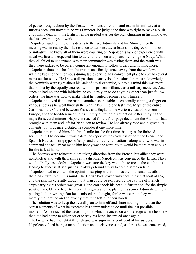of peace brought about by the Treaty of Amiens to rebuild and rearm his military at a furious pace. But now that he was Emperor, he judged the time was right to make a push and finally deal with the British. All he needed was for the plan churning in his mind over the last several days to work.

Napoleon said nothing of its details to the two Admirals and his Minister, for the meeting was in reality their last chance to demonstrate at least some degree of boldness or initiative. He knew all of them were counting on Napoleon's lack of experience with naval warfare and expected him to defer to them on any plans involving the Navy. What they all failed to understand was their commander was testing them and the result was they were judged to be barely competent enough to follow orders and nothing more.

Napoleon shook his head in frustration and finally turned away from the window, walking back to the enormous dining table serving as a convenient place to spread several maps out for study. He knew a dispassionate analysis of the situation must acknowledge the Admirals were right about his lack of naval expertise, but to his mind this was more than offset by the equally true reality of his proven brilliance as a military tactician. And since he had no one with initiative he could rely on to do anything other than just follow orders, the time was now to make what he wanted become reality himself.

Napoleon moved from one map to another on the table, occasionally tapping a finger on various spots as he went through the plan in his mind one last time. Maps of the entire Caribbean, the Channel between France and England, the western coast of southern Europe, and the Mediterranean in its entirety all found his attention. After studying the maps for several minutes Napoleon reached for the four-page document the Admirals had brought with them and left for Napoleon to review. He had already read and digested its contents, but prudence dictated he consider it one more time.

Napoleon permitted himself a brief smile for the first time that day as he finished scanning it. The document was a detailed report of the readiness of both the French and Spanish Navies, listing types of ships and their current locations, along with who was in command at each. What made him happy was the certainty it would be more than enough for the task at hand.

The Spanish were reluctant allies taking direction from the French, but allies they were nonetheless and with their ships at his disposal Napoleon was convinced the British Navy would finally taste defeat. Napoleon was sure the key would be to create the conditions leading to success at sea, just as he always found a way to do the same on land.

Napoleon had to contain the optimism surging within him as the final small details of the plan crystalized in his mind. The British had proved wily foes in past, at least at sea, and the risk his carefully thought out plan could be exposed by the capture of French ships carrying his orders was great. Napoleon shook his head in frustration, for the simple solution would have been to explain his goals and the plan to his senior Admirals without putting it all in writing. But he dismissed the thought, for he was certain they would merely turn around and do exactly that if he left it in their hands.

The solution was to keep the overall plan to himself and share nothing more than the barest elements of what he expected his commanders to do until the last possible moment. As he reached the decision point which balanced on a knife edge where he knew the time had come to either act or to stay his hand, he smiled once again.

He knew he had thought it through and was supremely confident of his success. Napoleon valued being a man of action and decisiveness and, as far as he was concerned,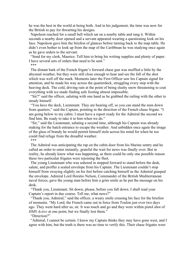he was the best in the world at being both. And in his judgement, the time was now for the British to pay for thwarting his designs.

Napoleon reached for a small bell which sat on a nearby table and rang it. Within seconds a nearby door opened and a servant appeared wearing a questioning look on his face. Napoleon gave him the briefest of glances before turning back to the map table. He didn't even bother to look up from the map of the Caribbean he was studying once again as he gave orders to the servant.

"Send for my clerk, Maurice. Tell him to bring his writing supplies and plenty of paper. I have several sets of orders that need to be sent."

\*\*\*

The distant bark of the French frigate's forward chase gun was muffled a little by the abysmal weather, but they were still close enough to hear and see the fall of the shot which was well off the mark. Moments later the First Officer saw his Captain signal for attention, and he made his way across the quarterdeck, struggling every step with the heaving deck. The cold, driving rain at the point of being slushy snow threatening to coat everything with ice made finding safe footing almost impossible.

"Sir?" said the officer, saluting with one hand as he grabbed the railing with the other to steady himself.

"You have the deck, Lieutenant. They are bearing off, so you can stand the men down from quarters," said the Captain, pointing in the direction of the French chase frigate. "I am going below to my cabin. I must have a report ready for the Admiral the second we find him. Be ready to take it to him when we do."

"Sir," said the Lieutenant, saluting a second time, although his Captain was already making for the hatch entrance to escape the weather. And unbidden once again the image of the glass of brandy he would permit himself stole across his mind for when he too could find refuge from the dreadful weather. \*\*\*

The Admiral was anticipating the rap on the cabin door from his Marine sentry and he called an order to enter instantly, grateful the wait for news was finally over. But in

reality, he already knew what was happening, as there could be only one possible reason these two particular frigates were rejoining the fleet. The young Lieutenant who was ushered in stepped forward to stand before the desk, salute, and proffer a sealed envelope from his Captain. The Lieutenant couldn't stop himself from swaying slightly on his feet before catching himself as the Admiral grasped

the envelope. Admiral Lord Horatio Nelson, Commander of the British Mediterranean naval forces, gave the young man before him a grim smile as he put the message on his desk.

"Thank you, Lieutenant. Sit down, please, before you fall down. I shall read your Captain's report in due course. Tell me, what news?"

"Thank you, Admiral," said the officer, a weary smile creasing his face for the briefest of moments. "My Lord, the French came out in force from Toulon just over two days ago. They went hard after us, sir. It was touch and go and they were within pistol shot of *HMS Active* at one point, but we finally lost them."

"Direction?"

"Admiral, I cannot be certain. I know my Captain thinks they may have gone west, and I agree with him, but the truth is there was no time to verify this. Their chase frigates were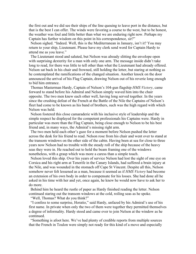the first out and we did see their ships of the line queuing to leave port in the distance, but that is the best I can offer. The winds were favoring a course to the west, but to be honest, the weather was foul and little better than what we are enduring right now. Perhaps my Captain has further wisdom on this point in his correspondence, sir?"

Nelson sighed. "Indeed. Well, this is the Mediterranean in January, isn't it? You may return to your ship, Lieutenant. Please have my clerk send word for Captain Hardy to attend me as you leave."

The Lieutenant stood and saluted, but Nelson was already slitting the envelope open with surprising dexterity for a man with only one arm. The message inside didn't take long to read, for there was little to tell other than what the Lieutenant had already offered. Nelson sat back in his chair and frowned, still holding the letter, but staring at nothing as he contemplated the ramifications of the changed situation. Another knock on the door announced the arrival of his Flag Captain, drawing Nelson out of his reverie long enough to bid him entrance.

Thomas Masterman Hardy, Captain of Nelson's 104-gun flagship *HMS Victory*, came forward to stand before his Admiral and Nelson simply waved him into the chair opposite. The two men knew each other well, having long served together. In the years since the crushing defeat of the French at the Battle of the Nile the Captains of Nelson's fleet had come to be known as his band of brothers, such was the high regard with which Nelson was held.

Nelson fostered this close camaraderie with his inclusive style of leadership and the simple respect he displayed for the competent professionals his Captains were. Hardy in particular was more than the Flag Captain, being close enough to Nelson to be his best friend and, in many ways, the Admiral's missing right arm.

The two men held each other's gaze for a moment before Nelson pushed the letter across the desk for his friend to read. Nelson rose from his chair and went over to stand at the transom windows on the other side of the cabin. Having been at sea for close to three years now Nelson had no trouble with the steady roll of the ship because of the heavy seas they were in. He reached out to hold the beam framing one of the windows nonetheless, with a grasp which was more a caress than a simple touch.

Nelson loved this ship. Over his years of service Nelson had lost the sight of one eye on Corsica and his right arm at Tenerife in the Canary Islands, had suffered a brain injury at the Nile, and was wounded in the stomach off Cape St Vincent. Despite all this, Nelson somehow never felt lessened as a man, because it seemed as if *HMS Victory* had become an extension of his own body in order to compensate for his losses. She had done all he asked in his time with her and yet, once again, he knew he would now have to ask her to do more.

Behind him he heard the rustle of paper as Hardy finished reading the letter. Nelson continued staring out the transom windows at the cold, roiling seas as he spoke.

"Well, Thomas? What do you think?"

"I confess to some surprise, Horatio," said Hardy, unfazed by his Admiral's use of his first name. In private when only the two of them were together they permitted themselves a degree of informality. Hardy stood and came over to join Nelson at the window as he continued.

"Something is afoot here. We've had plenty of credible reports from multiple sources that the French in Toulon were simply not ready for this kind of a move and especially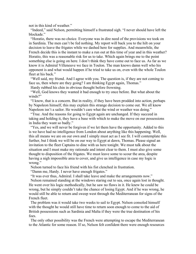not in this kind of weather."

"Indeed," said Nelson, permitting himself a frustrated sigh. "I never should have left the blockade<sup>"</sup>

"Horatio, there was no choice. Everyone was in dire need of the provisions we took on in Sardinia. The men can't be fed nothing. My report will back you to the hilt on your decision to leave the frigates while we dashed here for supplies. And meanwhile, the French decide this is the instant to make a run out at this time of year and in this weather? Horatio, this was a reasonable risk for us to take. Which again brings me to the point something else is going on here. I don't think they have come out to face us. As far as we know it is Admiral Villeneuve we face in Toulon. The man knows damn well who his opponent is and what would happen if he tried to take us on, even with the whole Toulon fleet at his back."

"Well said, my friend. And I agree with you. The question is, if they are not coming to face us, then where are they going? I am thinking Egypt again, Thomas."

Hardy rubbed his chin in obvious thought before frowning.

"Well, God knows they wanted it bad enough to try once before. But what about the winds?"

"I know, that is a concern. But in reality, if they have been prodded into action, perhaps by Napoleon himself, this may explain this strange decision to come out. We all know Napoleon isn't a sailor. He wouldn't care what the wind or weather was doing."

"True. And the reasons for going to Egypt again are unchanged. If they succeed in taking and holding it, they have a base with which to make the move on our possessions in India they want so badly."

"Yes, and we will never be forgiven if we let them have the opportunity. Added to this is we have had no intelligence from London about anything like this happening. Well, this all means we are on our own and I simply must act as I see fit. I will contemplate this further, but I think we will be on our way to Egypt at dawn, Thomas. Please signal an invitation to the fleet Captains to dine with us here tonight. We must talk about the situation and I must make my rationale and intent clear to them. I must also give some thought to disposition of the frigates. We must leave some to scour the area, despite having a nigh impossible area to cover, and give us intelligence in case my logic is wrong."

Nelson turned to face his friend with his fist clenched in frustration.

"Damn me, Hardy. I never have enough frigates."

"It was ever thus, Admiral. I shall take leave and make the arrangements now." Nelson remained standing at the windows staring out to sea, once again lost in thought. He went over his logic methodically, but he saw no flaws in it. He knew he could be wrong, but he simply couldn't take the chance of losing Egypt. And if he was wrong, he would still be able to return and sweep west through the Mediterranean for signs of the French fleet.

The problem was it would take two weeks to sail to Egypt. Nelson consoled himself with the thought he would still have time to return soon enough to come to the aid of British possessions such as Sardinia and Malta if they were the true destination of his foes.

The only other possibility was the French were attempting to escape the Mediterranean to the Atlantic for some reason. If so, Nelson felt confident there were enough resources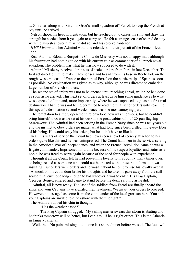at Gibraltar, along with Sir John Orde's small squadron off Ferrol, to keep the French at bay until he arrived.

Nelson shook his head in frustration, but he reached out to caress his ship and draw the strength he needed from it yet again to carry on. He felt a strange sense of shared destiny with the ship steal over him as he did so, and his resolve hardened.

*HMS Victory* and her Admiral would be relentless in their pursuit of the French fleet. \*\*\*

Rear Admiral Edouard Burguês le Comte de Missiessy was not a happy man, although his frustration had nothing to do with his current role as commander of a French naval squadron. The problem was what he was now supposed to do with it.

Admiral Missiessy received three sets of sealed orders from Paris in late December. The first set directed him to make ready for sea and to sail from his base in Rochefort, on the rough, western coast of France to the port of Ferrol on the northern tip of Spain as soon as possible. No explanation was given as to why, although he was directed to embark a large number of French soldiers.

The second set of orders was not to be opened until reaching Ferrol, which he had done as soon as he arrived. This next set of orders at least gave him some guidance as to what was expected of him and, more importantly, where he was supposed to go as his first real destination. That he was not being permitted to read the final set of orders until reaching this specific destination several weeks hence was the most annoying part.

The temptation to simply open the third envelope now was enormous, but he couldn't bring himself to do it as he sat at his desk in the great cabins of his 120-gun flagship *Majestueux*. The Admiral had been serving in the French Navy since he was ten years old and the instinct to obey orders no matter what had long since been drilled into every fiber of his being. He would obey his orders, but he didn't have to like it.

In all his years of service the Count had never seen a level of secrecy attached to his orders quite like this and he was unimpressed. The Count had risen in the service, serving in the American War of Independence, and when the French Revolution came he was a frigate commander. Imprisoned for a time because of his suspect loyalties and status as a noble, he was freed to serve again because of the need for people with experience.

Through it all the Count felt he had proven his loyalty to his country many times over, so being treated as someone who could not be trusted with top secret information was insulting. But orders were orders and he wasn't about to compromise his loyalty over it.

A knock on his cabin door broke his thoughts and he tore his gaze away from the still sealed final envelope long enough to bid whoever it was to enter. His Flag Captain, Georges Berger, entered and came to stand before the desk, saluting as he did.

"Admiral, all is now ready. The last of the soldiers from Ferrol are finally aboard the ships and your Captains have signaled their readiness. We await your orders to proceed. However, a message has come from the commander of the local garrison here. You and your Captains are invited to dine ashore with them tonight."

The Admiral rubbed his chin in thought.

"Has the weather eased?"

The Flag Captain shrugged. "My sailing master swears this storm is abating and he thinks tomorrow will be better, but I can't tell if he is right or not. This is the Atlantic in January, after all."

"Well, then. No point missing out on one last shore dinner before we sail. The food will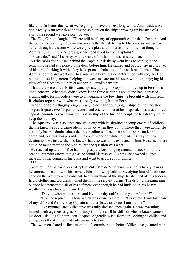likely be far better than what we're going to have the next long while. And besides, we don't really want over three thousand soldiers on the ships throwing up because of a storm the second we leave port, do we?"

The Flag Captain laughed. "There will be plenty of opportunities for that, I'm sure. And the bonus for waiting till dawn also means the British trying to blockade us will get to suffer through the storm while we enjoy a pleasant dinner ashore. I like that thought, Admiral. Shall I reply accordingly and send word to your Captains?"

"Please do," said Missiessy, with a wave of his hand to dismiss the man.

As the cabin door closed behind the Captain, Missiessy went back to staring at the remaining sealed envelope on the desk before him. He sighed and put it away in a drawer of his desk, locking it with a key he kept on a chain around his neck at all times. The Admiral got up and went over to a side table bearing a decanter filled with cognac. He poured himself a generous helping and went to stare out his stern windows, enjoying his view of the fleet around him at anchor in Ferrol's harbour.

That there were a few British warships attempting to keep him bottled up in Ferrol was not a concern. What they didn't know is the force under his command had increased significantly, for his orders were to amalgamate the few ships he brought with him from Rochefort together with what was already awaiting him in Ferrol.

In addition to his flagship *Majestueux*, he now had four 74-gun ships of the line, three 40-gun frigates, two 16-gun corvettes, and one schooner at his disposal. This was a force capable enough to swat away any British ship of the line or a couple of frigates trying to keep them at bay.

The squadron was also large enough, along with its significant complement of soldiers, that he knew he could cause plenty of havoc when they got to where they were going. He certainly had his doubts about the true readiness of the men and the ships under his command, but this was a problem he could work on while he made his way to their destination. He just wished he knew what else was to be expected of him. He sensed there could be much more to the picture, but the question was what.

He reached up with his free hand to grasp the key hanging around his neck for a brief second, but with effort let it go as he found his resolve. Sighing, he downed a large measure of the cognac in his glass and went to get ready for dinner. \*\*\*

Admiral Pierre-Charles-Jean-Baptiste-Silvestre de Villeneuve was not a happy man as he entered his cabin with his servant Jules following behind. Steadying himself with one hand on the wall from the constant, heavy lurching of the ship, he stripped off his sodden, frigid clothes and wordlessly piled them in the servant's arms. The driving, freezing rain outside had penetrated all of his defences even though he had huddled in his heavy weather canvas cloak while on deck.

"Do you wish me to return and lay out a dry uniform for you, Admiral?"

"No," he replied, in a tone which was close to a growl. "Leave me. I will take care of myself. Send for my Flag Captain and then leave us alone. I must think."

Five minutes later Villeneuve was fully dressed once again. He was warming himself with a generous glass of brandy from the chill he still felt when a knock came at his door. His Flag Captain Jean-Jacques Magendie was ushered in, looking as chilled and unhappy as the Admiral had only minutes before.

The two men shared a silent moment of commiseration before Villeneuve gestured with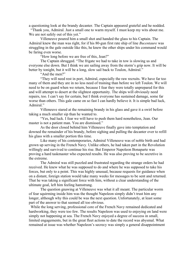a questioning look at the brandy decanter. The Captain appeared grateful and he nodded.

"Thank you, Admiral. Just a small one to warm myself. I must keep my wits about me. We are not safely out of this yet."

Villeneuve poured him a small shot and handed the glass to his Captain. The Admiral knew the man was right, for if his 80-gun first rate ship of line *Bucentaure* was struggling in the gale outside like this, he knew the other ships under his command would be faring even worse.

"How long before we are free of this, Jean?"

The Captain shrugged. "The frigate we had to take in tow is slowing us and everyone else down. But I think we are sailing away from the storm's grip now. It will be better by tonight, but it will be a long, slow sail back to Toulon, Admiral."

"And the men?"

"They will need rest in port, Admiral, especially the raw recruits. We have far too many of them and they are in no less need of training than before we left Toulon. We will need to be on guard when we return, because I fear they were totally unprepared for this and will attempt to desert at the slightest opportunity. The ships will obviously need repairs, too. I can't say for certain, but I think everyone has sustained damage, some far worse than others. This gale came on so fast I can hardly believe it. It is simple bad luck, Admiral."

Villeneuve stared at the remaining brandy in his glass and gave it a swirl before taking a much smaller sip than he wanted to.

"Yes, bad luck. I fear we will have to push them hard nonetheless, Jean. Our master is not a patient man. You are dismissed."

As the door closed behind him Villeneuve finally gave into temptation and downed the remainder of his brandy, before sighing and pulling the decanter over to refill his glass with a smaller portion this time.

Like many of his contemporaries, Admiral Villeneuve was of noble birth and had grown up serving in the French Navy. Unlike others, he had taken part in the Revolution willingly and survived to continue his rise. But Emperor Napoleon Bonaparte was proving a hard taskmaster who expected results. He was also proving to be secretive in the extreme.

The Admiral was still puzzled and frustrated regarding the strange orders he had received. He knew what he was supposed to do and where he was supposed to take his forces, but only to a point. This was highly unusual, because requests for guidance when on a distant, foreign station would take many weeks for messages to be sent and returned. That he was taking a significant force with him, without a clear understanding of the ultimate goal, left him feeling hamstrung.

The question gnawing at Villeneuve was what it all meant. The particular worm of fear squirming inside him was the thought Napoleon simply didn't trust him any longer, although why this could be was the next question. Unfortunately, at least some part of the answer to that seemed all too obvious.

While the long serving, professional core of the French Navy remained dedicated and hardworking, they were too few. The results Napoleon was used to enjoying on land were simply not happening at sea. The French Navy enjoyed a degree of success in small, limited engagements, but in the great fleet actions to date the record was abysmal. What remained at issue was whether Napoleon's secrecy was simply a general disappointment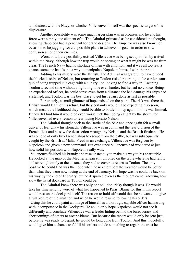and distrust with the Navy, or whether Villeneuve himself was the specific target of his displeasure.

Another possibility was some much larger plan was in progress and he and his force were simply one element of it. The Admiral grimaced as he considered the thought, knowing Napoleon had a penchant for grand designs. The Emperor was also known on occasion to be juggling several possible plans to achieve his goals in order to sow confusion among their enemies.

Worst of all, the possibility existed Villeneuve was being set up to fail by a rival within the Navy, although how the trap would be sprung or what it might be was far from clear. The French Navy had no shortage of men with ambition, and it was all too real a chance someone had found a way to manipulate Napoleon himself with their plot.

Adding to his misery were the British. The Admiral was grateful to have eluded the blockade ships of Nelson, but returning to Toulon risked returning to the earlier status quo of being trapped in a cage with a hungry lion looking to find a way in. Escaping Toulon a second time without a fight might be even harder, but he had no choice. Being an experienced officer, he could sense even from a distance the bad damage his ships had sustained, and Toulon was the best place to get his repairs done as fast as possible.

Fortunately, a small glimmer of hope existed on the point. The risk was there the British would learn of his return, but they certainly wouldn't be expecting it so soon, which meant the likelihood they would be able to bottle him up again in time was limited. If they did find him it would be even worse luck than being caught by the storm, for Villeneuve had every reason to fear facing Horatio Nelson.

The Admiral thought back to the Battle of the Nile and once again felt a small quiver of fear gnaw his stomach. Villeneuve was in command the rear division of the French fleet and he saw the destruction wrought by Nelson and the British firsthand. He was on one of only two French ships to escape from the battle, but was subsequently caught by the British at Malta. Freed in an exchange, Villeneuve was forgiven by Napoleon and given a new command. But ever since Villeneuve had wondered at just how solid his position with Napoleon really was.

Villeneuve finished his brandy and rose unsteadily to make his way to his chart table. He looked at the map of the Mediterranean still unrolled on the table where he had left it and stared gloomily at the distance they had to cover to return to Toulon. The only positive he could find was the hope when he next left port the weather would be better than what they were now facing at the end of January. His hope was he could be back on his way by the end of February, but he despaired even as the thought came, knowing how slow the naval dockyard in Toulon could be.

The Admiral knew there was only one solution, risky though it was. He would take his time sending word of what had happened to Paris. Blame for this in his report would rest on the dockyard itself. The reason to hold off would thus be he wanted to give a full picture of the situation and when he would resume following his orders.

Using this he could paint an image of himself as a thorough, capable officer hamstrung with incompetence in the Dockyard. He could only hope Napoleon would not see it differently and conclude Villeneuve was a leader hiding behind the bureaucracy and shortcomings of others to escape blame. But because the report would only be sent just before he was ready to depart, he would be long gone from Toulon. And this, hopefully, would give him a chance to fulfill his orders and do something to regain the trust he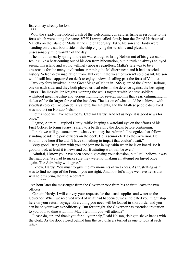feared may already be lost.

\*\*\*

With the steady, methodical crash of the welcoming gun salutes firing in response to the forts which were doing the same, *HMS Victory* sailed slowly into the Grand Harbour of Valletta on the island of Malta at the end of February, 1805. Nelson and Hardy were standing on the starboard side of the ship enjoying the sunshine and pleasant, unseasonably mild warmth of the day.

The hint of an early spring in the air was enough to bring Nelson out of his great cabin feeling like a bear coming out of his den from hibernation, but in truth he always enjoyed seeing this island and would willingly appear regardless. Malta's fate was to be a crossroads for the many civilizations rimming the Mediterranean and it had a storied history Nelson drew inspiration from. But even if the weather weren't so pleasant, Nelson would still have appeared on deck to enjoy a view of sailing past the forts of Valletta.

Two key forts involved in the Great Siege of Malta in 1565 guarded the Grand Harbour, one on each side, and they both played critical roles in the defence against the besieging Turks. The Hospitaller Knights manning the walls together with Maltese soldiers withstood great hardship and vicious fighting for several months that year, culminating in defeat of the far larger force of the invaders. The lesson of what could be achieved with steadfast resolve like Jean de la Vallette, his Knights, and the Maltese people displayed was not lost on Horatio Nelson.

"Let us hope we have news today, Captain Hardy. And let us hope it is good news for once."

"I agree, Admiral," replied Hardy, while keeping a watchful eye on the efforts of his First Officer to bring *Victory* safely to a berth along the docks before continuing.

"I think we will get some news, whatever it may be, Admiral. I recognize that fellow standing beside the port officers on the dock. He is senior clerk to the Governor. He wouldn't be here if he didn't have something to impart that couldn't wait."

"Very good. Bring him with you and join me in my cabin when he is on board. Be it good or bad, at least it is news and our frustrating wait will be over."

"Admiral, I know you have been second guessing your decision, but I still believe it was the right one. We had to make sure they were not making an attempt on Egypt once again. The Admiralty will agree."

"I know, Hardy. You must forgive me my moments of weakness. As frustrating as it was to find no sign of the French, you are right. And now let's hope we have news that will help us bring them to account."

\_<br>\*\*\*

An hour later the messenger from the Governor rose from his chair to leave the two officers.

"Captain Hardy, I will convey your requests for the usual supplies and water to the Governor. When we received word of what had happened, we anticipated you might stop here on your return voyage. Everything you need will be loaded in short order and you can be on your way expeditiously. But for tonight, the Governor has extended invitation to you both to dine with him. May I tell him you will attend?"

"Please do, sir, and thank you for all your help," said Nelson, rising to shake hands with the clerk. As the door closed behind him the two officers turned as one to look at each other.